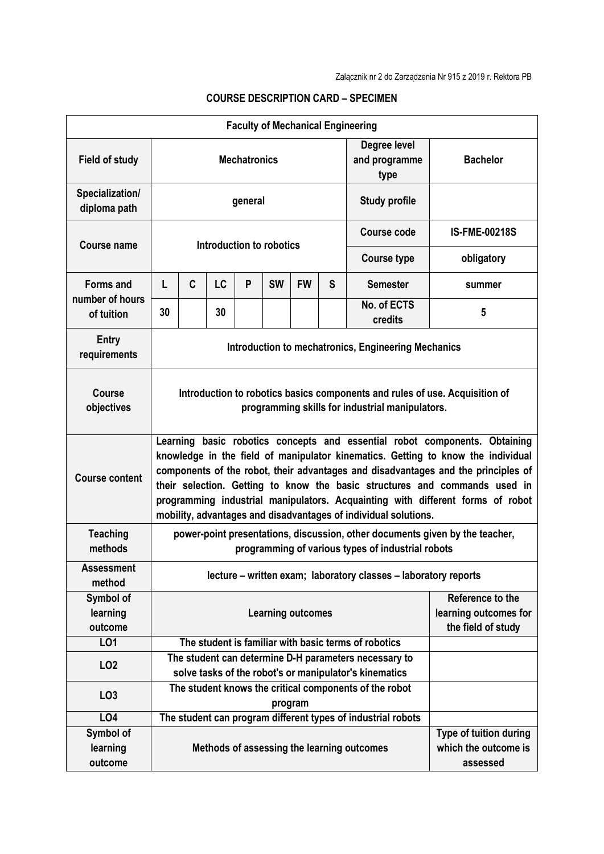| <b>Faculty of Mechanical Engineering</b> |                                                                                                                                                                                                                                                                                                                                                                                                                                                                                        |              |    |   |           |           |                                                                 |                                                              |                                                            |  |  |  |
|------------------------------------------|----------------------------------------------------------------------------------------------------------------------------------------------------------------------------------------------------------------------------------------------------------------------------------------------------------------------------------------------------------------------------------------------------------------------------------------------------------------------------------------|--------------|----|---|-----------|-----------|-----------------------------------------------------------------|--------------------------------------------------------------|------------------------------------------------------------|--|--|--|
| <b>Field of study</b>                    | <b>Mechatronics</b>                                                                                                                                                                                                                                                                                                                                                                                                                                                                    |              |    |   |           |           |                                                                 | Degree level<br>and programme<br>type                        | <b>Bachelor</b>                                            |  |  |  |
| Specialization/<br>diploma path          | general                                                                                                                                                                                                                                                                                                                                                                                                                                                                                |              |    |   |           |           |                                                                 | <b>Study profile</b>                                         |                                                            |  |  |  |
| Course name                              | Introduction to robotics                                                                                                                                                                                                                                                                                                                                                                                                                                                               |              |    |   |           |           |                                                                 | Course code                                                  | <b>IS-FME-00218S</b>                                       |  |  |  |
|                                          |                                                                                                                                                                                                                                                                                                                                                                                                                                                                                        |              |    |   |           |           |                                                                 | <b>Course type</b>                                           | obligatory                                                 |  |  |  |
| <b>Forms and</b>                         | L                                                                                                                                                                                                                                                                                                                                                                                                                                                                                      | $\mathbf{C}$ | LC | P | <b>SW</b> | <b>FW</b> | S                                                               | <b>Semester</b>                                              | summer                                                     |  |  |  |
| number of hours<br>of tuition            | 30                                                                                                                                                                                                                                                                                                                                                                                                                                                                                     |              | 30 |   |           |           |                                                                 | No. of ECTS<br>credits                                       | 5                                                          |  |  |  |
| <b>Entry</b><br>requirements             | Introduction to mechatronics, Engineering Mechanics                                                                                                                                                                                                                                                                                                                                                                                                                                    |              |    |   |           |           |                                                                 |                                                              |                                                            |  |  |  |
| <b>Course</b><br>objectives              | Introduction to robotics basics components and rules of use. Acquisition of<br>programming skills for industrial manipulators.                                                                                                                                                                                                                                                                                                                                                         |              |    |   |           |           |                                                                 |                                                              |                                                            |  |  |  |
| <b>Course content</b>                    | Learning basic robotics concepts and essential robot components. Obtaining<br>knowledge in the field of manipulator kinematics. Getting to know the individual<br>components of the robot, their advantages and disadvantages and the principles of<br>their selection. Getting to know the basic structures and commands used in<br>programming industrial manipulators. Acquainting with different forms of robot<br>mobility, advantages and disadvantages of individual solutions. |              |    |   |           |           |                                                                 |                                                              |                                                            |  |  |  |
| <b>Teaching</b><br>methods               | power-point presentations, discussion, other documents given by the teacher,<br>programming of various types of industrial robots                                                                                                                                                                                                                                                                                                                                                      |              |    |   |           |           |                                                                 |                                                              |                                                            |  |  |  |
| Assessment<br>method                     | lecture - written exam; laboratory classes - laboratory reports                                                                                                                                                                                                                                                                                                                                                                                                                        |              |    |   |           |           |                                                                 |                                                              |                                                            |  |  |  |
| Symbol of<br>learning<br>outcome         | <b>Learning outcomes</b>                                                                                                                                                                                                                                                                                                                                                                                                                                                               |              |    |   |           |           | Reference to the<br>learning outcomes for<br>the field of study |                                                              |                                                            |  |  |  |
| LO1                                      | The student is familiar with basic terms of robotics                                                                                                                                                                                                                                                                                                                                                                                                                                   |              |    |   |           |           |                                                                 |                                                              |                                                            |  |  |  |
| LO <sub>2</sub>                          | The student can determine D-H parameters necessary to<br>solve tasks of the robot's or manipulator's kinematics                                                                                                                                                                                                                                                                                                                                                                        |              |    |   |           |           |                                                                 |                                                              |                                                            |  |  |  |
| LO <sub>3</sub>                          |                                                                                                                                                                                                                                                                                                                                                                                                                                                                                        |              |    |   |           | program   |                                                                 | The student knows the critical components of the robot       |                                                            |  |  |  |
| LO4                                      |                                                                                                                                                                                                                                                                                                                                                                                                                                                                                        |              |    |   |           |           |                                                                 | The student can program different types of industrial robots |                                                            |  |  |  |
| Symbol of<br>learning<br>outcome         |                                                                                                                                                                                                                                                                                                                                                                                                                                                                                        |              |    |   |           |           |                                                                 | Methods of assessing the learning outcomes                   | Type of tuition during<br>which the outcome is<br>assessed |  |  |  |

## **COURSE DESCRIPTION CARD – SPECIMEN**